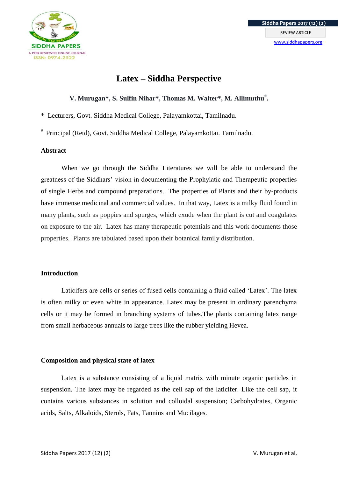

# **Latex – Siddha Perspective**

## **V. Murugan\*, S. Sulfin Nihar\*, Thomas M. Walter\*, M. Allimuthu# .**

\* Lecturers, Govt. Siddha Medical College, Palayamkottai, Tamilnadu.

# Principal (Retd), Govt. Siddha Medical College, Palayamkottai. Tamilnadu.

#### **Abstract**

When we go through the Siddha Literatures we will be able to understand the greatness of the Siddhars' vision in documenting the Prophylatic and Therapeutic properties of single Herbs and compound preparations. The properties of Plants and their by-products have immense medicinal and commercial values. In that way, Latex is a milky fluid found in many plants, such as poppies and spurges, which exude when the plant is cut and coagulates on exposure to the air. Latex has many therapeutic potentials and this work documents those properties. Plants are tabulated based upon their botanical family distribution.

### **Introduction**

Laticifers are cells or series of fused cells containing a fluid called 'Latex'. The latex is often milky or even white in appearance. Latex may be present in ordinary parenchyma cells or it may be formed in branching systems of tubes.The plants containing latex range from small herbaceous annuals to large trees like the rubber yielding Hevea.

### **Composition and physical state of latex**

Latex is a substance consisting of a liquid matrix with minute organic particles in suspension. The latex may be regarded as the cell sap of the laticifer. Like the cell sap, it contains various substances in solution and colloidal suspension; Carbohydrates, Organic acids, Salts, Alkaloids, Sterols, Fats, Tannins and Mucilages.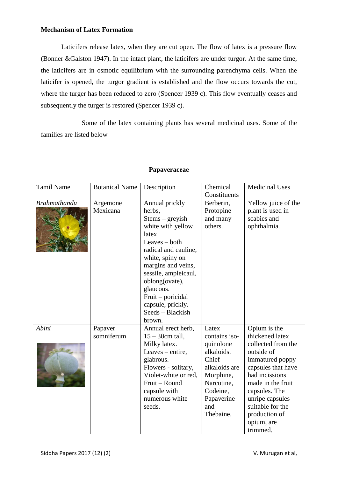## **Mechanism of Latex Formation**

Laticifers release latex, when they are cut open. The flow of latex is a pressure flow (Bonner &Galston 1947). In the intact plant, the laticifers are under turgor. At the same time, the laticifers are in osmotic equilibrium with the surrounding parenchyma cells. When the laticifer is opened, the turgor gradient is established and the flow occurs towards the cut, where the turger has been reduced to zero (Spencer 1939 c). This flow eventually ceases and subsequently the turger is restored (Spencer 1939 c).

Some of the latex containing plants has several medicinal uses. Some of the families are listed below

| <b>Tamil Name</b>   | <b>Botanical Name</b> | Description                                                                                                                                                                                                                                                                                  | Chemical<br>Constituents                                                                                                                             | <b>Medicinal Uses</b>                                                                                                                                                                                                                                  |
|---------------------|-----------------------|----------------------------------------------------------------------------------------------------------------------------------------------------------------------------------------------------------------------------------------------------------------------------------------------|------------------------------------------------------------------------------------------------------------------------------------------------------|--------------------------------------------------------------------------------------------------------------------------------------------------------------------------------------------------------------------------------------------------------|
| <b>Brahmathandu</b> | Argemone<br>Mexicana  | Annual prickly<br>herbs,<br>$Stems - greyish$<br>white with yellow<br>latex<br>Leaves – both<br>radical and cauline,<br>white, spiny on<br>margins and veins,<br>sessile, ampleicaul,<br>oblong(ovate),<br>glaucous.<br>Fruit – poricidal<br>capsule, prickly.<br>Seeds - Blackish<br>brown. | Berberin,<br>Protopine<br>and many<br>others.                                                                                                        | Yellow juice of the<br>plant is used in<br>scabies and<br>ophthalmia.                                                                                                                                                                                  |
| Abini               | Papaver<br>somniferum | Annual erect herb,<br>$15 - 30$ cm tall,<br>Milky latex.<br>Leaves – entire,<br>glabrous.<br>Flowers - solitary,<br>Violet-white or red,<br>Fruit - Round<br>capsule with<br>numerous white<br>seeds.                                                                                        | Latex<br>contains iso-<br>quinolone<br>alkaloids.<br>Chief<br>alkaloids are<br>Morphine,<br>Narcotine,<br>Codeine,<br>Papaverine<br>and<br>Thebaine. | Opium is the<br>thickened latex<br>collected from the<br>outside of<br>immatured poppy<br>capsules that have<br>had incissions<br>made in the fruit<br>capsules. The<br>unripe capsules<br>suitable for the<br>production of<br>opium, are<br>trimmed. |

### **Papaveraceae**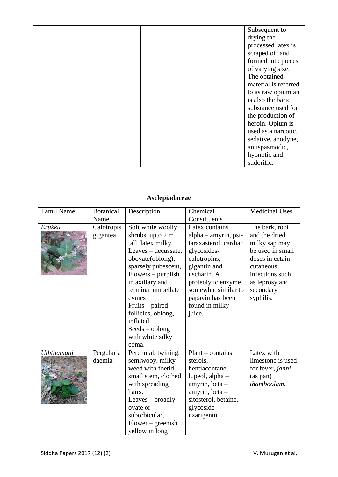|  |  | Subsequent to        |
|--|--|----------------------|
|  |  | drying the           |
|  |  | processed latex is   |
|  |  | scraped off and      |
|  |  | formed into pieces   |
|  |  | of varying size.     |
|  |  | The obtained         |
|  |  | material is referred |
|  |  | to as raw opium an   |
|  |  | is also the baric    |
|  |  | substance used for   |
|  |  | the production of    |
|  |  | heroin. Opium is     |
|  |  | used as a narcotic,  |
|  |  | sedative, anodyne,   |
|  |  | antispasmodic,       |
|  |  | hypnotic and         |
|  |  | sudorific.           |

# **Asclepiadaceae**

| <b>Tamil Name</b> | <b>Botanical</b>       | Description                                                                                                                                                                                                                                                                                                   | Chemical                                                                                                                                                                                                                   | <b>Medicinal Uses</b>                                                                                                                                               |
|-------------------|------------------------|---------------------------------------------------------------------------------------------------------------------------------------------------------------------------------------------------------------------------------------------------------------------------------------------------------------|----------------------------------------------------------------------------------------------------------------------------------------------------------------------------------------------------------------------------|---------------------------------------------------------------------------------------------------------------------------------------------------------------------|
|                   | Name                   |                                                                                                                                                                                                                                                                                                               | Constituents                                                                                                                                                                                                               |                                                                                                                                                                     |
| Erukku            | Calotropis<br>gigantea | Soft white woolly<br>shrubs, upto 2 m<br>tall, latex milky,<br>Leaves - decussate,<br>obovate(oblong),<br>sparsely pubescent,<br>$Flowers - purplish$<br>in axillary and<br>terminal umbellate<br>cymes<br>Fruits – paired<br>follicles, oblong,<br>inflated<br>$Sedes - oblong$<br>with white silky<br>coma. | Latex contains<br>alpha – amyrin, psi-<br>taraxasterol, cardiac<br>glycosides-<br>calotropins,<br>gigantin and<br>uscharin. A<br>proteolytic enzyme<br>somewhat similar to<br>papavin has been<br>found in milky<br>juice. | The bark, root<br>and the dried<br>milky sap may<br>be used in small<br>doses in cetain<br>cutaneous<br>infections such<br>as leprosy and<br>secondary<br>syphilis. |
| Uththamani        | Pergularia<br>daemia   | Perennial, twining,<br>semiwooy, milky<br>weed with foetid,<br>small stem, clothed<br>with spreading<br>hairs.<br>Leaves – broadly<br>ovate or<br>suborbicular,<br>$Flower-greenish$<br>yellow in long                                                                                                        | $Plant$ – contains<br>sterols,<br>hentiacontane,<br>lupeol, alpha -<br>amyrin, beta -<br>amyrin, beta -<br>sitosterol, betaine,<br>glycoside<br>uzarigenin.                                                                | Latex with<br>limestone is used<br>for fever, janni<br>(as pan)<br>thamboolam.                                                                                      |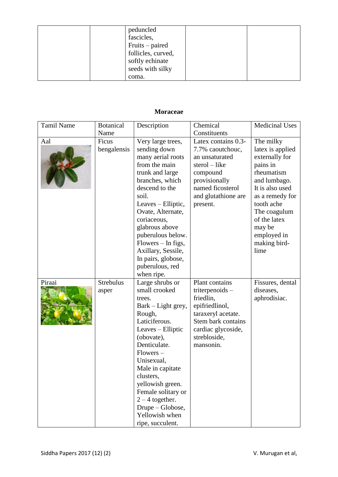| peduncled          |  |
|--------------------|--|
| fascicles,         |  |
| Fruits – paired    |  |
| follicles, curved, |  |
| softly echinate    |  |
| seeds with silky   |  |
| coma.              |  |

## **Moraceae**

| <b>Tamil Name</b> | <b>Botanical</b>          | Description                                                                                                                                                                                                                                                                                                                                  | Chemical                                                                                                                                                          | <b>Medicinal Uses</b>                                                                                                                                                                                                          |
|-------------------|---------------------------|----------------------------------------------------------------------------------------------------------------------------------------------------------------------------------------------------------------------------------------------------------------------------------------------------------------------------------------------|-------------------------------------------------------------------------------------------------------------------------------------------------------------------|--------------------------------------------------------------------------------------------------------------------------------------------------------------------------------------------------------------------------------|
|                   | Name                      |                                                                                                                                                                                                                                                                                                                                              | Constituents                                                                                                                                                      |                                                                                                                                                                                                                                |
| Aal               | Ficus<br>bengalensis      | Very large trees,<br>sending down<br>many aerial roots<br>from the main<br>trunk and large<br>branches, which<br>descend to the<br>soil.<br>Leaves - Elliptic,<br>Ovate, Alternate,<br>coriaceous,<br>glabrous above<br>puberulous below.<br>Flowers - In figs,<br>Axillary, Sessile,<br>In pairs, globose,<br>puberulous, red<br>when ripe. | Latex contains 0.3-<br>7.7% caoutchouc,<br>an unsaturated<br>$sterol - like$<br>compound<br>provisionally<br>named ficosterol<br>and glutathione are<br>present.  | The milky<br>latex is applied<br>externally for<br>pains in<br>rheumatism<br>and lumbago.<br>It is also used<br>as a remedy for<br>tooth ache<br>The coagulum<br>of the latex<br>may be<br>employed in<br>making bird-<br>lime |
| Piraai            | <b>Strebulus</b><br>asper | Large shrubs or<br>small crooked<br>trees.<br>Bark – Light grey,<br>Rough,<br>Laticiferous.<br>Leaves - Elliptic<br>(obovate),<br>Denticulate.<br>$Flowers -$<br>Unisexual,<br>Male in capitate<br>clusters,<br>yellowish green.<br>Female solitary or<br>$2 - 4$ together.<br>Drupe - Globose,<br>Yellowish when<br>ripe, succulent.        | Plant contains<br>triterpenoids $-$<br>friedlin,<br>epifriedlinol,<br>taraxeryl acetate.<br>Stem bark contains<br>cardiac glycoside,<br>strebloside,<br>mansonin. | Fissures, dental<br>diseases,<br>aphrodisiac.                                                                                                                                                                                  |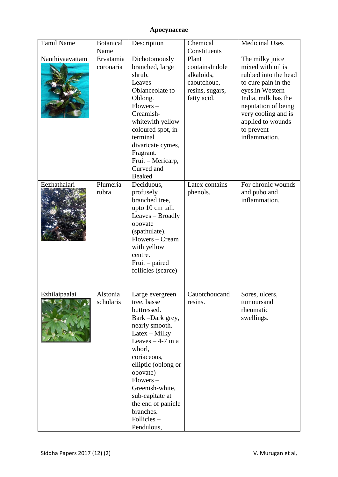# **Apocynaceae**

| <b>Tamil Name</b> | <b>Botanical</b><br>Name | Description                                                                                                                                                                                                                                                                                               | Chemical<br>Constituents                                                               | <b>Medicinal Uses</b>                                                                                                                                                                                                           |
|-------------------|--------------------------|-----------------------------------------------------------------------------------------------------------------------------------------------------------------------------------------------------------------------------------------------------------------------------------------------------------|----------------------------------------------------------------------------------------|---------------------------------------------------------------------------------------------------------------------------------------------------------------------------------------------------------------------------------|
| Nanthiyaavattam   | Ervatamia<br>coronaria   | Dichotomously<br>branched, large<br>shrub.<br>Leaves $-$<br>Oblanceolate to<br>Oblong.<br>$Flowers -$<br>Creamish-<br>whitewith yellow<br>coloured spot, in<br>terminal<br>divaricate cymes,<br>Fragrant.<br>Fruit - Mericarp,<br>Curved and<br>Beaked                                                    | Plant<br>containsIndole<br>alkaloids,<br>caoutchouc,<br>resins, sugars,<br>fatty acid. | The milky juice<br>mixed with oil is<br>rubbed into the head<br>to cure pain in the<br>eyes.in Western<br>India, milk has the<br>neputation of being<br>very cooling and is<br>applied to wounds<br>to prevent<br>inflammation. |
| Eezhathalari      | Plumeria<br>rubra        | Deciduous,<br>profusely<br>branched tree,<br>upto 10 cm tall.<br>Leaves - Broadly<br>obovate<br>(spathulate).<br>Flowers - Cream<br>with yellow<br>centre.<br>Fruit – paired<br>follicles (scarce)                                                                                                        | Latex contains<br>phenols.                                                             | For chronic wounds<br>and pubo and<br>inflammation.                                                                                                                                                                             |
| Ezhilaipaalai     | Alstonia<br>scholaris    | Large evergreen<br>tree, basse<br>buttressed.<br>Bark-Dark grey,<br>nearly smooth.<br>Latex - Milky<br>Leaves $-4-7$ in a<br>whorl,<br>coriaceous,<br>elliptic (oblong or<br>obovate)<br>$Flowers -$<br>Greenish-white,<br>sub-capitate at<br>the end of panicle<br>branches.<br>Follicles-<br>Pendulous, | Cauotchoucand<br>resins.                                                               | Sores, ulcers,<br>tumoursand<br>rheumatic<br>swellings.                                                                                                                                                                         |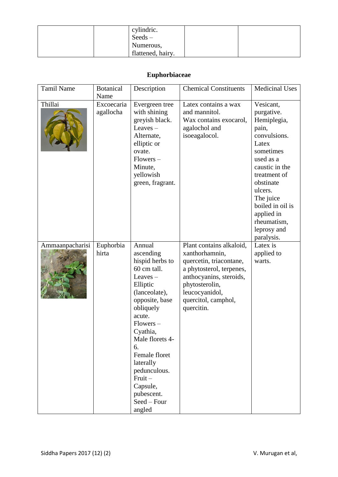|  | cylindric.         |  |
|--|--------------------|--|
|  | $S{\text{eeds}} -$ |  |
|  | Numerous,          |  |
|  | flattened, hairy.  |  |

## **Euphorbiaceae**

| <b>Tamil Name</b> | <b>Botanical</b><br>Name | Description                                                                                                                                                                                                                                                                                                 | <b>Chemical Constituents</b>                                                                                                                                                                          | <b>Medicinal Uses</b>                                                                                                                                                                                                                                   |
|-------------------|--------------------------|-------------------------------------------------------------------------------------------------------------------------------------------------------------------------------------------------------------------------------------------------------------------------------------------------------------|-------------------------------------------------------------------------------------------------------------------------------------------------------------------------------------------------------|---------------------------------------------------------------------------------------------------------------------------------------------------------------------------------------------------------------------------------------------------------|
| Thillai           | Excoecaria<br>agallocha  | Evergreen tree<br>with shining<br>greyish black.<br>Leaves $-$<br>Alternate,<br>elliptic or<br>ovate.<br>$Flowers -$<br>Minute,<br>yellowish<br>green, fragrant.                                                                                                                                            | Latex contains a wax<br>and mannitol.<br>Wax contains exocarol,<br>agalochol and<br>isoeagalocol.                                                                                                     | Vesicant,<br>purgative.<br>Hemiplegia,<br>pain,<br>convulsions.<br>Latex<br>sometimes<br>used as a<br>caustic in the<br>treatment of<br>obstinate<br>ulcers.<br>The juice<br>boiled in oil is<br>applied in<br>rheumatism,<br>leprosy and<br>paralysis. |
| Ammaanpacharisi   | Euphorbia<br>hirta       | Annual<br>ascending<br>hispid herbs to<br>60 cm tall.<br>Leaves $-$<br>Elliptic<br>(lanceolate),<br>opposite, base<br>obliquely<br>acute.<br>$Flowers -$<br>Cyathia,<br>Male florets 4-<br>6.<br>Female floret<br>laterally<br>pedunculous.<br>$Fruit -$<br>Capsule,<br>pubescent.<br>Seed - Four<br>angled | Plant contains alkaloid,<br>xanthorhamnin,<br>quercetin, triacontane,<br>a phytosterol, terpenes,<br>anthocyanins, steroids,<br>phytosterolin,<br>leucocyanidol,<br>quercitol, camphol,<br>quercitin. | Latex is<br>applied to<br>warts.                                                                                                                                                                                                                        |